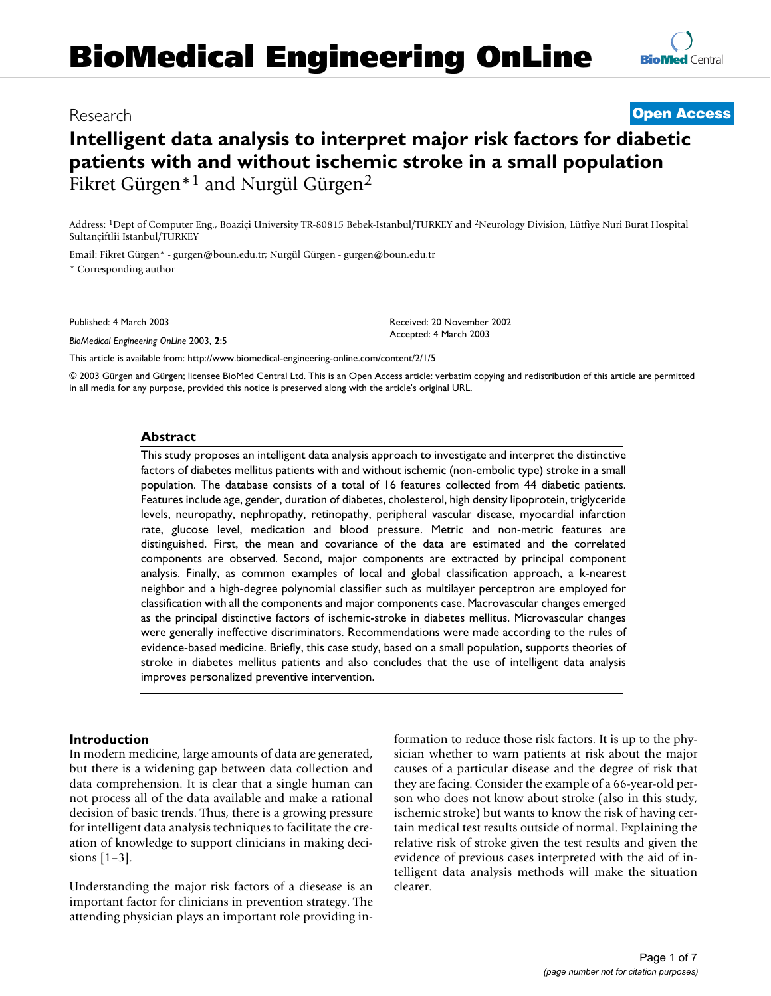# Research **[Open Access](http://www.biomedcentral.com/info/about/charter/)**

**[BioMed](http://www.biomedcentral.com/)** Central

# **Intelligent data analysis to interpret major risk factors for diabetic patients with and without ischemic stroke in a small population** Fikret Gürgen\*1 and Nurgül Gürgen2

Address: 1Dept of Computer Eng., Boaziçi University TR-80815 Bebek-Istanbul/TURKEY and 2Neurology Division, Lütfiye Nuri Burat Hospital Sultançiftlii Istanbul/TURKEY

Email: Fikret Gürgen\* - gurgen@boun.edu.tr; Nurgül Gürgen - gurgen@boun.edu.tr \* Corresponding author

Published: 4 March 2003

*BioMedical Engineering OnLine* 2003, **2**:5

Received: 20 November 2002 Accepted: 4 March 2003

[This article is available from: http://www.biomedical-engineering-online.com/content/2/1/5](http://www.biomedical-engineering-online.com/content/2/1/5)

© 2003 Gürgen and Gürgen; licensee BioMed Central Ltd. This is an Open Access article: verbatim copying and redistribution of this article are permitted in all media for any purpose, provided this notice is preserved along with the article's original URL.

# **Abstract**

This study proposes an intelligent data analysis approach to investigate and interpret the distinctive factors of diabetes mellitus patients with and without ischemic (non-embolic type) stroke in a small population. The database consists of a total of 16 features collected from 44 diabetic patients. Features include age, gender, duration of diabetes, cholesterol, high density lipoprotein, triglyceride levels, neuropathy, nephropathy, retinopathy, peripheral vascular disease, myocardial infarction rate, glucose level, medication and blood pressure. Metric and non-metric features are distinguished. First, the mean and covariance of the data are estimated and the correlated components are observed. Second, major components are extracted by principal component analysis. Finally, as common examples of local and global classification approach, a k-nearest neighbor and a high-degree polynomial classifier such as multilayer perceptron are employed for classification with all the components and major components case. Macrovascular changes emerged as the principal distinctive factors of ischemic-stroke in diabetes mellitus. Microvascular changes were generally ineffective discriminators. Recommendations were made according to the rules of evidence-based medicine. Briefly, this case study, based on a small population, supports theories of stroke in diabetes mellitus patients and also concludes that the use of intelligent data analysis improves personalized preventive intervention.

# **Introduction**

In modern medicine, large amounts of data are generated, but there is a widening gap between data collection and data comprehension. It is clear that a single human can not process all of the data available and make a rational decision of basic trends. Thus, there is a growing pressure for intelligent data analysis techniques to facilitate the creation of knowledge to support clinicians in making decisions [1–3].

Understanding the major risk factors of a diesease is an important factor for clinicians in prevention strategy. The attending physician plays an important role providing information to reduce those risk factors. It is up to the physician whether to warn patients at risk about the major causes of a particular disease and the degree of risk that they are facing. Consider the example of a 66-year-old person who does not know about stroke (also in this study, ischemic stroke) but wants to know the risk of having certain medical test results outside of normal. Explaining the relative risk of stroke given the test results and given the evidence of previous cases interpreted with the aid of intelligent data analysis methods will make the situation clearer.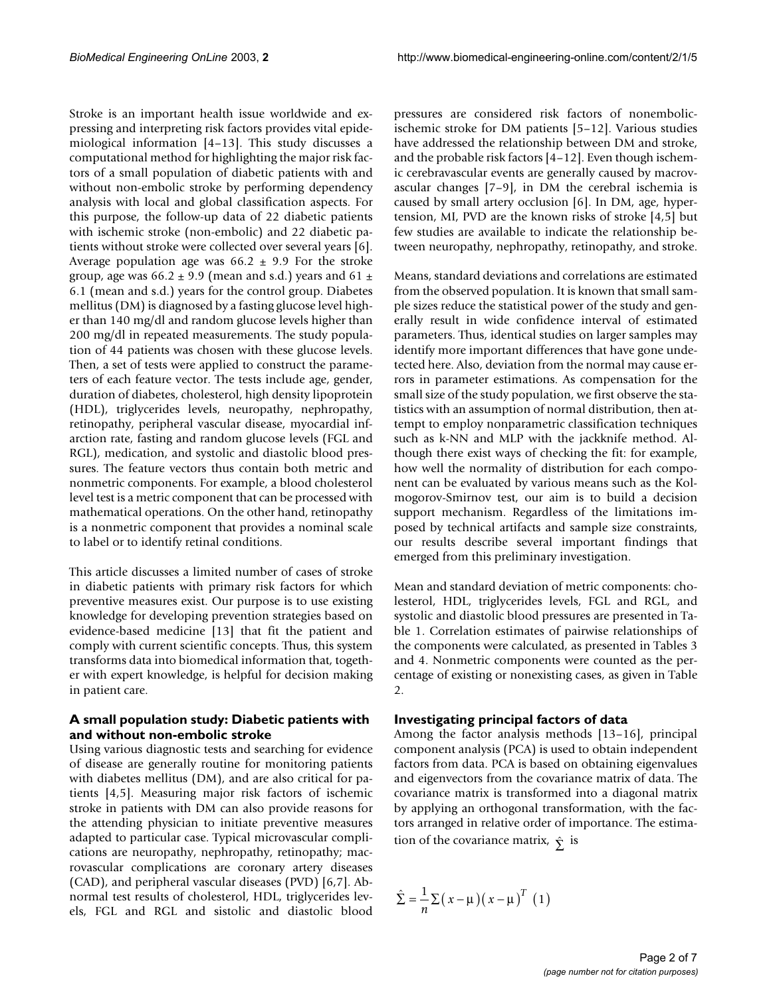Stroke is an important health issue worldwide and expressing and interpreting risk factors provides vital epidemiological information [4–13]. This study discusses a computational method for highlighting the major risk factors of a small population of diabetic patients with and without non-embolic stroke by performing dependency analysis with local and global classification aspects. For this purpose, the follow-up data of 22 diabetic patients with ischemic stroke (non-embolic) and 22 diabetic patients without stroke were collected over several years [6]. Average population age was  $66.2 \pm 9.9$  For the stroke group, age was  $66.2 \pm 9.9$  (mean and s.d.) years and  $61 \pm$ 6.1 (mean and s.d.) years for the control group. Diabetes mellitus (DM) is diagnosed by a fasting glucose level higher than 140 mg/dl and random glucose levels higher than 200 mg/dl in repeated measurements. The study population of 44 patients was chosen with these glucose levels. Then, a set of tests were applied to construct the parameters of each feature vector. The tests include age, gender, duration of diabetes, cholesterol, high density lipoprotein (HDL), triglycerides levels, neuropathy, nephropathy, retinopathy, peripheral vascular disease, myocardial infarction rate, fasting and random glucose levels (FGL and RGL), medication, and systolic and diastolic blood pressures. The feature vectors thus contain both metric and nonmetric components. For example, a blood cholesterol level test is a metric component that can be processed with mathematical operations. On the other hand, retinopathy is a nonmetric component that provides a nominal scale to label or to identify retinal conditions.

This article discusses a limited number of cases of stroke in diabetic patients with primary risk factors for which preventive measures exist. Our purpose is to use existing knowledge for developing prevention strategies based on evidence-based medicine [13] that fit the patient and comply with current scientific concepts. Thus, this system transforms data into biomedical information that, together with expert knowledge, is helpful for decision making in patient care.

# **A small population study: Diabetic patients with and without non-embolic stroke**

Using various diagnostic tests and searching for evidence of disease are generally routine for monitoring patients with diabetes mellitus (DM), and are also critical for patients [4,5]. Measuring major risk factors of ischemic stroke in patients with DM can also provide reasons for the attending physician to initiate preventive measures adapted to particular case. Typical microvascular complications are neuropathy, nephropathy, retinopathy; macrovascular complications are coronary artery diseases (CAD), and peripheral vascular diseases (PVD) [6,7]. Abnormal test results of cholesterol, HDL, triglycerides levels, FGL and RGL and sistolic and diastolic blood

pressures are considered risk factors of nonembolicischemic stroke for DM patients [5–12]. Various studies have addressed the relationship between DM and stroke, and the probable risk factors [4–12]. Even though ischemic cerebravascular events are generally caused by macrovascular changes [7–9], in DM the cerebral ischemia is caused by small artery occlusion [6]. In DM, age, hypertension, MI, PVD are the known risks of stroke [4,5] but few studies are available to indicate the relationship between neuropathy, nephropathy, retinopathy, and stroke.

Means, standard deviations and correlations are estimated from the observed population. It is known that small sample sizes reduce the statistical power of the study and generally result in wide confidence interval of estimated parameters. Thus, identical studies on larger samples may identify more important differences that have gone undetected here. Also, deviation from the normal may cause errors in parameter estimations. As compensation for the small size of the study population, we first observe the statistics with an assumption of normal distribution, then attempt to employ nonparametric classification techniques such as k-NN and MLP with the jackknife method. Although there exist ways of checking the fit: for example, how well the normality of distribution for each component can be evaluated by various means such as the Kolmogorov-Smirnov test, our aim is to build a decision support mechanism. Regardless of the limitations imposed by technical artifacts and sample size constraints, our results describe several important findings that emerged from this preliminary investigation.

Mean and standard deviation of metric components: cholesterol, HDL, triglycerides levels, FGL and RGL, and systolic and diastolic blood pressures are presented in Table [1](#page-2-0). Correlation estimates of pairwise relationships of the components were calculated, as presented in Tables [3](#page-3-0) and [4.](#page-3-1) Nonmetric components were counted as the percentage of existing or nonexisting cases, as given in Table [2](#page-2-1).

### **Investigating principal factors of data**

Among the factor analysis methods [13–16], principal component analysis (PCA) is used to obtain independent factors from data. PCA is based on obtaining eigenvalues and eigenvectors from the covariance matrix of data. The covariance matrix is transformed into a diagonal matrix by applying an orthogonal transformation, with the factors arranged in relative order of importance. The estimation of the covariance matrix,  $\hat{y}$  is

$$
\hat{\Sigma} = \frac{1}{n} \Sigma (x - \mu) (x - \mu)^T (1)
$$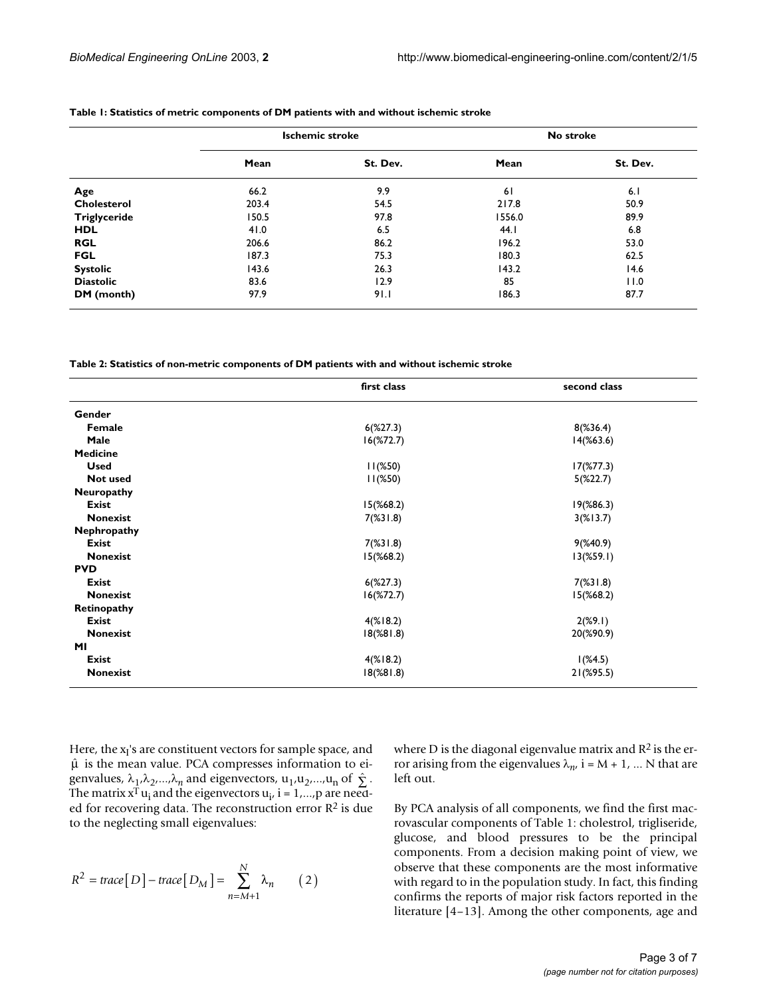|                  | <b>Ischemic stroke</b> |          | No stroke |          |
|------------------|------------------------|----------|-----------|----------|
|                  | Mean                   | St. Dev. | Mean      | St. Dev. |
| Age              | 66.2                   | 9.9      | 61        | 6.1      |
| Cholesterol      | 203.4                  | 54.5     | 217.8     | 50.9     |
| Triglyceride     | 150.5                  | 97.8     | 1556.0    | 89.9     |
| <b>HDL</b>       | 41.0                   | 6.5      | 44.1      | 6.8      |
| <b>RGL</b>       | 206.6                  | 86.2     | 196.2     | 53.0     |
| <b>FGL</b>       | 187.3                  | 75.3     | 180.3     | 62.5     |
| <b>Systolic</b>  | 143.6                  | 26.3     | 143.2     | 14.6     |
| <b>Diastolic</b> | 83.6                   | 12.9     | 85        | 11.0     |
| DM (month)       | 97.9                   | 91.I     | 186.3     | 87.7     |

<span id="page-2-0"></span>**Table 1: Statistics of metric components of DM patients with and without ischemic stroke**

<span id="page-2-1"></span>**Table 2: Statistics of non-metric components of DM patients with and without ischemic stroke**

|                 | first class           | second class          |
|-----------------|-----------------------|-----------------------|
| Gender          |                       |                       |
| Female          | 6(%27.3)              | $8(\text{\%}36.4)$    |
| Male            | $16(\frac{872.7}{8})$ | $14(\%63.6)$          |
| <b>Medicine</b> |                       |                       |
| <b>Used</b>     | 11(%50)               | $17(\frac{877.3}{8})$ |
| Not used        | 11(%50)               | 5(%22.7)              |
| Neuropathy      |                       |                       |
| <b>Exist</b>    | $15$ (%68.2)          | $19(\%86.3)$          |
| <b>Nonexist</b> | $7$ (%31.8)           | 3(X13.7)              |
| Nephropathy     |                       |                       |
| Exist           | $7$ (%31.8)           | 9(%40.9)              |
| <b>Nonexist</b> | $15(\%68.2)$          | $13(\%59.1)$          |
| <b>PVD</b>      |                       |                       |
| Exist           | $6(\frac{827.3}{8})$  | $7$ (%31.8)           |
| <b>Nonexist</b> | $16(\frac{872.7}{4})$ | $15$ (%68.2)          |
| Retinopathy     |                       |                       |
| Exist           | 4(X18.2)              | $2(\%9.1)$            |
| <b>Nonexist</b> | $18$ (%81.8)          | 20(%90.9)             |
| <b>MI</b>       |                       |                       |
| Exist           | 4(X18.2)              | 1(%4.5)               |
| <b>Nonexist</b> | $18(\%81.8)$          | 21( %95.5)            |

Here, the x<sub>I</sub>'s are constituent vectors for sample space, and  $\hat{\mu}$  is the mean value. PCA compresses information to eigenvalues,  $\lambda_1, \lambda_2, ..., \lambda_n$  and eigenvectors,  $u_1, u_2, ..., u_n$  of  $\hat{\Sigma}$ . The matrix  $x^T u_i$  and the eigenvectors  $u_i$ ,  $i = 1,...,p$  are needed for recovering data. The reconstruction error R2 is due to the neglecting small eigenvalues:

$$
R^{2} = trace[D] - trace[D_{M}] = \sum_{n=M+1}^{N} \lambda_{n}
$$
 (2)

where D is the diagonal eigenvalue matrix and  $\mathbb{R}^2$  is the error arising from the eigenvalues  $λ_{n}$ , i = M + 1, ... N that are left out.

By PCA analysis of all components, we find the first macrovascular components of Table [1](#page-2-0): cholestrol, trigliseride, glucose, and blood pressures to be the principal components. From a decision making point of view, we observe that these components are the most informative with regard to in the population study. In fact, this finding confirms the reports of major risk factors reported in the literature [4–13]. Among the other components, age and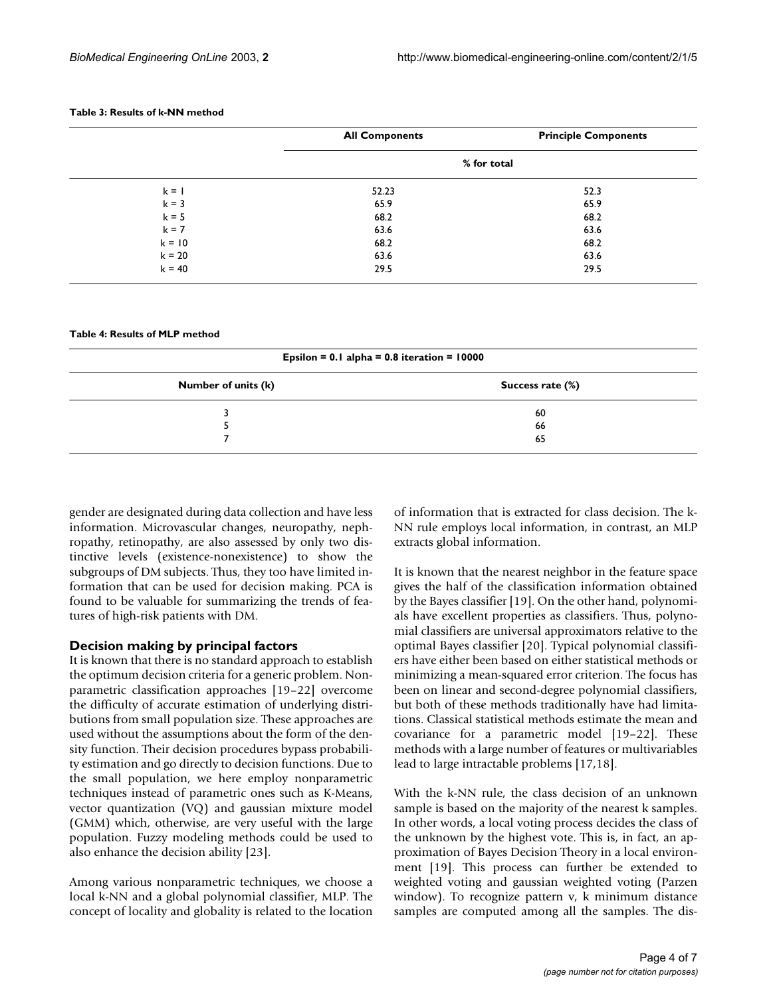|          | <b>All Components</b> | <b>Principle Components</b> |  |
|----------|-----------------------|-----------------------------|--|
|          | % for total           |                             |  |
| $k = 1$  | 52.23                 | 52.3                        |  |
| $k = 3$  | 65.9                  | 65.9                        |  |
| $k = 5$  | 68.2                  | 68.2                        |  |
| $k = 7$  | 63.6                  | 63.6                        |  |
| $k = 10$ | 68.2                  | 68.2                        |  |
| $k = 20$ | 63.6                  | 63.6                        |  |
| $k = 40$ | 29.5                  | 29.5                        |  |

#### <span id="page-3-0"></span>**Table 3: Results of k-NN method**

<span id="page-3-1"></span>**Table 4: Results of MLP method**

| Epsilon = $0.1$ alpha = $0.8$ iteration = $10000$ |                  |  |  |  |
|---------------------------------------------------|------------------|--|--|--|
| Number of units (k)                               | Success rate (%) |  |  |  |
|                                                   | 60               |  |  |  |
|                                                   | 66               |  |  |  |
|                                                   | 65               |  |  |  |

gender are designated during data collection and have less information. Microvascular changes, neuropathy, nephropathy, retinopathy, are also assessed by only two distinctive levels (existence-nonexistence) to show the subgroups of DM subjects. Thus, they too have limited information that can be used for decision making. PCA is found to be valuable for summarizing the trends of features of high-risk patients with DM.

# **Decision making by principal factors**

It is known that there is no standard approach to establish the optimum decision criteria for a generic problem. Nonparametric classification approaches [19–22] overcome the difficulty of accurate estimation of underlying distributions from small population size. These approaches are used without the assumptions about the form of the density function. Their decision procedures bypass probability estimation and go directly to decision functions. Due to the small population, we here employ nonparametric techniques instead of parametric ones such as K-Means, vector quantization (VQ) and gaussian mixture model (GMM) which, otherwise, are very useful with the large population. Fuzzy modeling methods could be used to also enhance the decision ability [23].

Among various nonparametric techniques, we choose a local k-NN and a global polynomial classifier, MLP. The concept of locality and globality is related to the location

of information that is extracted for class decision. The k-NN rule employs local information, in contrast, an MLP extracts global information.

It is known that the nearest neighbor in the feature space gives the half of the classification information obtained by the Bayes classifier [19]. On the other hand, polynomials have excellent properties as classifiers. Thus, polynomial classifiers are universal approximators relative to the optimal Bayes classifier [20]. Typical polynomial classifiers have either been based on either statistical methods or minimizing a mean-squared error criterion. The focus has been on linear and second-degree polynomial classifiers, but both of these methods traditionally have had limitations. Classical statistical methods estimate the mean and covariance for a parametric model [19–22]. These methods with a large number of features or multivariables lead to large intractable problems [17,18].

With the k-NN rule, the class decision of an unknown sample is based on the majority of the nearest k samples. In other words, a local voting process decides the class of the unknown by the highest vote. This is, in fact, an approximation of Bayes Decision Theory in a local environment [19]. This process can further be extended to weighted voting and gaussian weighted voting (Parzen window). To recognize pattern v, k minimum distance samples are computed among all the samples. The dis-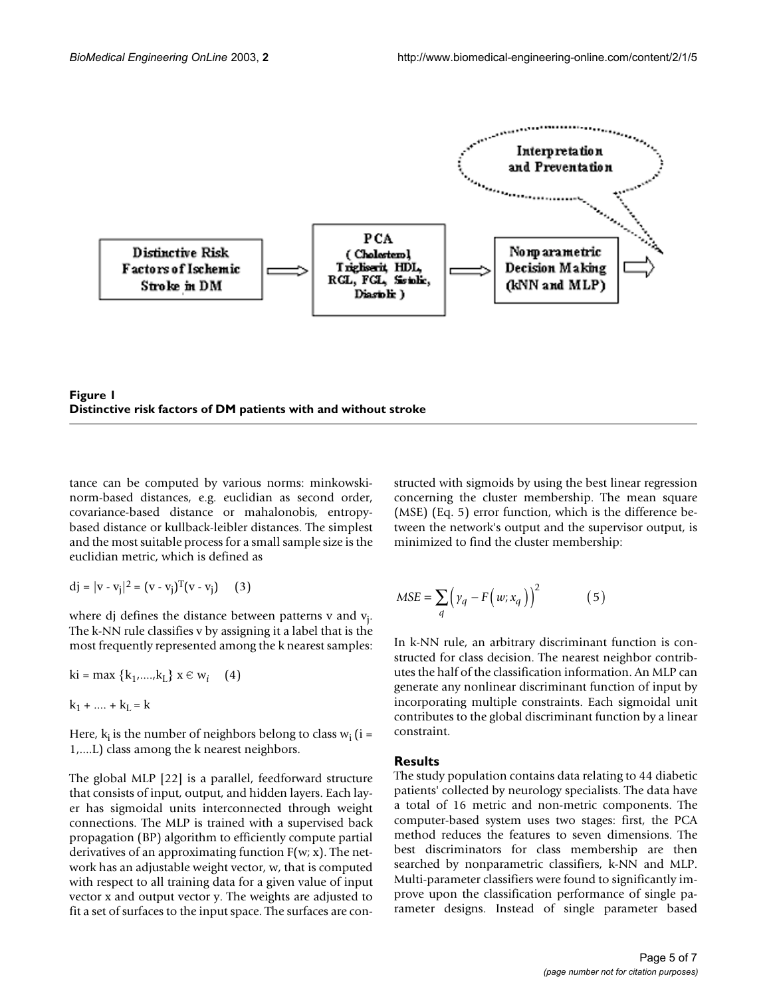

**Figure 1 Distinctive risk factors of DM patients with and without stroke**

tance can be computed by various norms: minkowskinorm-based distances, e.g. euclidian as second order, covariance-based distance or mahalonobis, entropybased distance or kullback-leibler distances. The simplest and the most suitable process for a small sample size is the euclidian metric, which is defined as

$$
dj = |v - v_j|^2 = (v - v_j)^T (v - v_j)
$$
 (3)

where dj defines the distance between patterns v and v<sub>j</sub>. The k-NN rule classifies v by assigning it a label that is the most frequently represented among the k nearest samples:

$$
\text{ki} = \max \left\{ \mathbf{k}_1, \dots, \mathbf{k}_L \right\} \times \in \mathbf{w}_i \quad \text{(4)}
$$

 $k_1 + ... + k_L = k$ 

Here,  $k_i$  is the number of neighbors belong to class  $w_i$  (i = 1,....L) class among the k nearest neighbors.

The global MLP [22] is a parallel, feedforward structure that consists of input, output, and hidden layers. Each layer has sigmoidal units interconnected through weight connections. The MLP is trained with a supervised back propagation (BP) algorithm to efficiently compute partial derivatives of an approximating function  $F(w; x)$ . The network has an adjustable weight vector, w, that is computed with respect to all training data for a given value of input vector x and output vector y. The weights are adjusted to fit a set of surfaces to the input space. The surfaces are constructed with sigmoids by using the best linear regression concerning the cluster membership. The mean square (MSE) (Eq. 5) error function, which is the difference between the network's output and the supervisor output, is minimized to find the cluster membership:

$$
MSE = \sum_{q} \left( y_q - F(w; x_q) \right)^2 \tag{5}
$$

In k-NN rule, an arbitrary discriminant function is constructed for class decision. The nearest neighbor contributes the half of the classification information. An MLP can generate any nonlinear discriminant function of input by incorporating multiple constraints. Each sigmoidal unit contributes to the global discriminant function by a linear constraint.

# **Results**

The study population contains data relating to 44 diabetic patients' collected by neurology specialists. The data have a total of 16 metric and non-metric components. The computer-based system uses two stages: first, the PCA method reduces the features to seven dimensions. The best discriminators for class membership are then searched by nonparametric classifiers, k-NN and MLP. Multi-parameter classifiers were found to significantly improve upon the classification performance of single parameter designs. Instead of single parameter based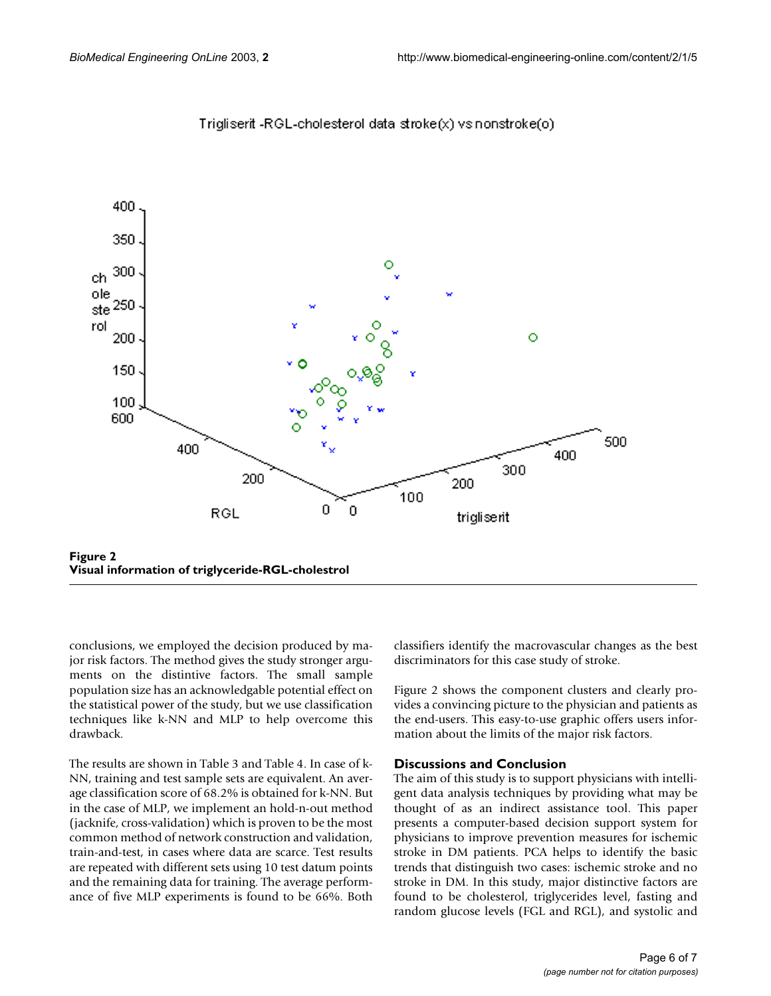

Trigliserit -RGL-cholesterol data stroke(x) vs nonstroke(o)

conclusions, we employed the decision produced by major risk factors. The method gives the study stronger arguments on the distintive factors. The small sample population size has an acknowledgable potential effect on the statistical power of the study, but we use classification techniques like k-NN and MLP to help overcome this drawback.

The results are shown in Table [3](#page-3-0) and Table [4](#page-3-1). In case of k-NN, training and test sample sets are equivalent. An average classification score of 68.2% is obtained for k-NN. But in the case of MLP, we implement an hold-n-out method (jacknife, cross-validation) which is proven to be the most common method of network construction and validation, train-and-test, in cases where data are scarce. Test results are repeated with different sets using 10 test datum points and the remaining data for training. The average performance of five MLP experiments is found to be 66%. Both classifiers identify the macrovascular changes as the best discriminators for this case study of stroke.

Figure 2 shows the component clusters and clearly provides a convincing picture to the physician and patients as the end-users. This easy-to-use graphic offers users information about the limits of the major risk factors.

# **Discussions and Conclusion**

The aim of this study is to support physicians with intelligent data analysis techniques by providing what may be thought of as an indirect assistance tool. This paper presents a computer-based decision support system for physicians to improve prevention measures for ischemic stroke in DM patients. PCA helps to identify the basic trends that distinguish two cases: ischemic stroke and no stroke in DM. In this study, major distinctive factors are found to be cholesterol, triglycerides level, fasting and random glucose levels (FGL and RGL), and systolic and